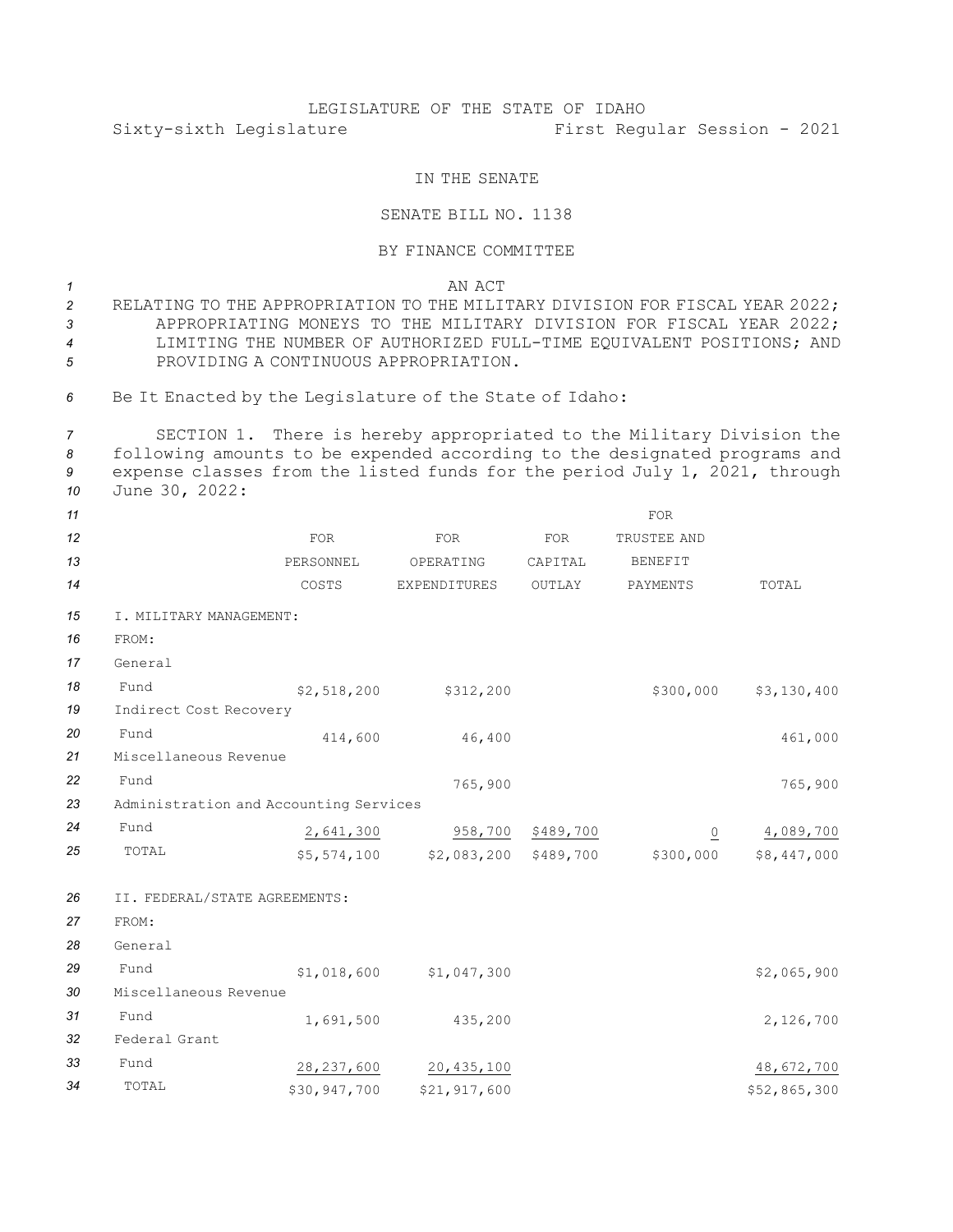## LEGISLATURE OF THE STATE OF IDAHO Sixty-sixth Legislature First Regular Session - 2021

## IN THE SENATE

## SENATE BILL NO. 1138

## BY FINANCE COMMITTEE

*1* AN ACT

 RELATING TO THE APPROPRIATION TO THE MILITARY DIVISION FOR FISCAL YEAR 2022; APPROPRIATING MONEYS TO THE MILITARY DIVISION FOR FISCAL YEAR 2022; LIMITING THE NUMBER OF AUTHORIZED FULL-TIME EQUIVALENT POSITIONS; AND PROVIDING A CONTINUOUS APPROPRIATION.

*<sup>6</sup>* Be It Enacted by the Legislature of the State of Idaho:

 SECTION 1. There is hereby appropriated to the Military Division the following amounts to be expended according to the designated programs and expense classes from the listed funds for the period July 1, 2021, through June 30, 2022:

| 11 |                                        |              |                       |                   | <b>FOR</b>     |              |  |  |  |  |
|----|----------------------------------------|--------------|-----------------------|-------------------|----------------|--------------|--|--|--|--|
| 12 |                                        | <b>FOR</b>   | <b>FOR</b>            | <b>FOR</b>        | TRUSTEE AND    |              |  |  |  |  |
| 13 |                                        | PERSONNEL    | OPERATING             | CAPITAL           | <b>BENEFIT</b> |              |  |  |  |  |
| 14 |                                        | COSTS        | EXPENDITURES          | OUTLAY            | PAYMENTS       | TOTAL        |  |  |  |  |
| 15 | I. MILITARY MANAGEMENT:                |              |                       |                   |                |              |  |  |  |  |
| 16 | FROM:                                  |              |                       |                   |                |              |  |  |  |  |
| 17 | General                                |              |                       |                   |                |              |  |  |  |  |
| 18 | Fund                                   | \$2,518,200  | \$312,200             |                   | \$300,000      | \$3,130,400  |  |  |  |  |
| 19 | Indirect Cost Recovery                 |              |                       |                   |                |              |  |  |  |  |
| 20 | Fund                                   | 414,600      | 46,400                |                   |                | 461,000      |  |  |  |  |
| 21 | Miscellaneous Revenue                  |              |                       |                   |                |              |  |  |  |  |
| 22 | Fund                                   |              | 765,900               |                   |                | 765,900      |  |  |  |  |
| 23 | Administration and Accounting Services |              |                       |                   |                |              |  |  |  |  |
| 24 | Fund                                   | 2,641,300    |                       | 958,700 \$489,700 | $\overline{0}$ | 4,089,700    |  |  |  |  |
| 25 | TOTAL                                  | \$5,574,100  | \$2,083,200 \$489,700 |                   | \$300,000      | \$8,447,000  |  |  |  |  |
| 26 | II. FEDERAL/STATE AGREEMENTS:          |              |                       |                   |                |              |  |  |  |  |
| 27 | FROM:                                  |              |                       |                   |                |              |  |  |  |  |
| 28 | General                                |              |                       |                   |                |              |  |  |  |  |
| 29 | Fund                                   | \$1,018,600  | \$1,047,300           |                   |                | \$2,065,900  |  |  |  |  |
| 30 | Miscellaneous Revenue                  |              |                       |                   |                |              |  |  |  |  |
| 31 | Fund                                   | 1,691,500    | 435,200               |                   |                | 2,126,700    |  |  |  |  |
| 32 | Federal Grant                          |              |                       |                   |                |              |  |  |  |  |
| 33 | Fund                                   | 28, 237, 600 | 20, 435, 100          |                   |                | 48,672,700   |  |  |  |  |
| 34 | TOTAL                                  | \$30,947,700 | \$21,917,600          |                   |                | \$52,865,300 |  |  |  |  |